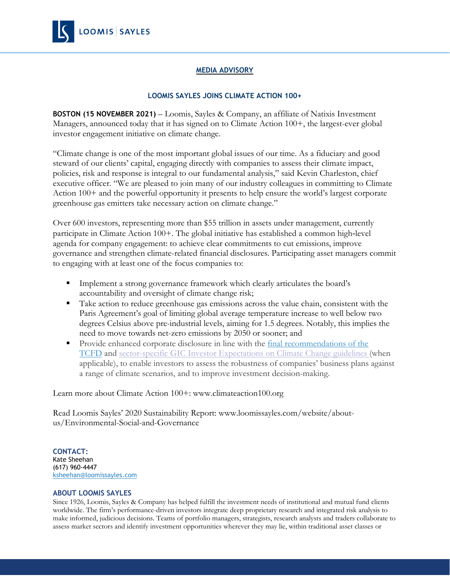

## **MEDIA ADVISORY**

## **LOOMIS SAYLES JOINS CLIMATE ACTION 100+**

**BOSTON (15 NOVEMBER 2021)** – Loomis, Sayles & Company, an affiliate of Natixis Investment Managers, announced today that it has signed on to Climate Action 100+, the largest-ever global investor engagement initiative on climate change.

"Climate change is one of the most important global issues of our time. As a fiduciary and good steward of our clients' capital, engaging directly with companies to assess their climate impact, policies, risk and response is integral to our fundamental analysis," said Kevin Charleston, chief executive officer. "We are pleased to join many of our industry colleagues in committing to Climate Action 100+ and the powerful opportunity it presents to help ensure the world's largest corporate greenhouse gas emitters take necessary action on climate change."

Over 600 investors, representing more than \$55 trillion in assets under management, currently participate in Climate Action 100+. The global initiative has established a common high-level agenda for company engagement: to achieve clear commitments to cut emissions, improve governance and strengthen climate-related financial disclosures. Participating asset managers commit to engaging with at least one of the focus companies to:

- **Implement a strong governance framework which clearly articulates the board's** accountability and oversight of climate change risk;
- Take action to reduce greenhouse gas emissions across the value chain, consistent with the Paris Agreement's goal of limiting global average temperature increase to well below two degrees Celsius above pre-industrial levels, aiming for 1.5 degrees. Notably, this implies the need to move towards net-zero emissions by 2050 or sooner; and
- Provide enhanced corporate disclosure in line with the final [recommendations](https://www.fsb-tcfd.org/wp-content/uploads/2017/06/FINAL-TCFD-Annex-062817.pdf) of the [TCFD](https://www.fsb-tcfd.org/wp-content/uploads/2017/06/FINAL-TCFD-Annex-062817.pdf) and [sector-specific](https://globalinvestorcoalition.org/) GIC Investor Expectations on Climate Change guidelines (when applicable), to enable investors to assess the robustness of companies' business plans against a range of climate scenarios, and to improve investment decision-making.

Learn more about Climate Action 100+: www.climateaction100.org

Read Loomis Sayles' 2020 Sustainability Report: www.loomissayles.com/website/aboutus/Environmental-Social-and-Governance

**CONTACT:** Kate Sheehan (617) 960-4447 [ksheehan@loomissayles.com](mailto:ksheehan@loomissayles.com)

## **ABOUT LOOMIS SAYLES**

Since 1926, Loomis, Sayles & Company has helped fulfill the investment needs of institutional and mutual fund clients worldwide. The firm's performance-driven investors integrate deep proprietary research and integrated risk analysis to make informed, judicious decisions. Teams of portfolio managers, strategists, research analysts and traders collaborate to assess market sectors and identify investment opportunities wherever they may lie, within traditional asset classes or